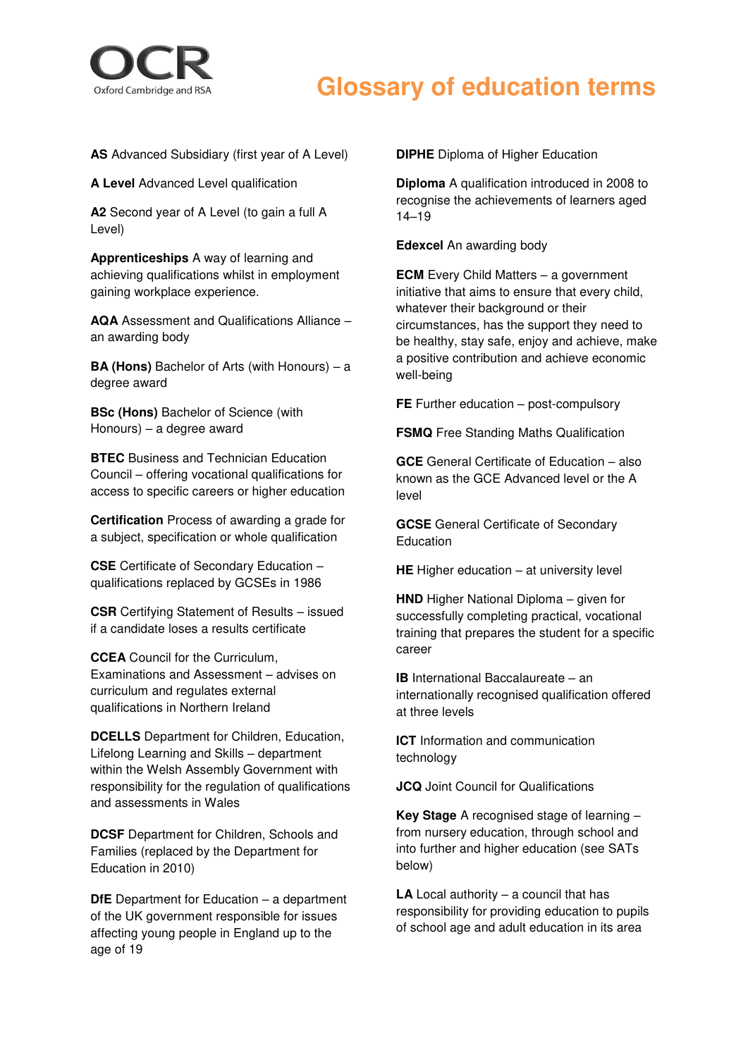

## **Glossary of education terms**

**AS** Advanced Subsidiary (first year of A Level)

**A Level Advanced Level qualification** 

**A2** Second year of A Level (to gain a full A Level)

**Apprenticeships** A way of learning and achieving qualifications whilst in employment gaining workplace experience.

**AQA** Assessment and Qualifications Alliance – an awarding body

**BA (Hons)** Bachelor of Arts (with Honours) – a degree award

**BSc (Hons)** Bachelor of Science (with Honours) – a degree award

**BTEC** Business and Technician Education Council – offering vocational qualifications for access to specific careers or higher education

**Certification** Process of awarding a grade for a subject, specification or whole qualification

**CSE** Certificate of Secondary Education – qualifications replaced by GCSEs in 1986

**CSR** Certifying Statement of Results – issued if a candidate loses a results certificate

**CCEA** Council for the Curriculum, Examinations and Assessment – advises on curriculum and regulates external qualifications in Northern Ireland

**DCELLS** Department for Children, Education, Lifelong Learning and Skills – department within the Welsh Assembly Government with responsibility for the regulation of qualifications and assessments in Wales

**DCSF** Department for Children, Schools and Families (replaced by the Department for Education in 2010)

**DfE** Department for Education – a department of the UK government responsible for issues affecting young people in England up to the age of 19

**DIPHE** Diploma of Higher Education

**Diploma** A qualification introduced in 2008 to recognise the achievements of learners aged 14–19

**Edexcel** An awarding body

**ECM** Every Child Matters – a government initiative that aims to ensure that every child, whatever their background or their circumstances, has the support they need to be healthy, stay safe, enjoy and achieve, make a positive contribution and achieve economic well-being

**FE** Further education – post-compulsory

**FSMQ** Free Standing Maths Qualification

**GCE** General Certificate of Education – also known as the GCE Advanced level or the A level

**GCSE** General Certificate of Secondary **Education** 

**HE** Higher education – at university level

**HND** Higher National Diploma – given for successfully completing practical, vocational training that prepares the student for a specific career

**IB** International Baccalaureate – an internationally recognised qualification offered at three levels

**ICT** Information and communication technology

**JCQ** Joint Council for Qualifications

**Key Stage** A recognised stage of learning – from nursery education, through school and into further and higher education (see SATs below)

**LA** Local authority – a council that has responsibility for providing education to pupils of school age and adult education in its area